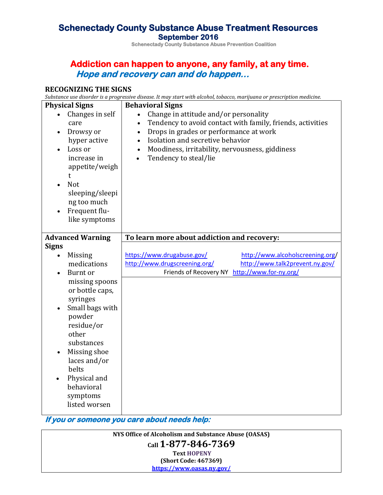# **Schenectady County Substance Abuse Treatment Resources September 2016 Schenectady County Substance Abuse Prevention Coalition**

## **Addiction can happen to anyone, any family, at any time. Hope and recovery can and do happen…**

### **RECOGNIZING THE SIGNS**

*Substance use disorder is a progressive disease. It may start with alcohol, tobacco, marijuana or prescription medicine.*

| <b>Physical Signs</b><br>Changes in self<br>care<br>Drowsy or<br>hyper active                            | <b>Behavioral Signs</b><br>Change in attitude and/or personality<br>Tendency to avoid contact with family, friends, activities<br>Drops in grades or performance at work<br>$\bullet$<br>Isolation and secretive behavior<br>$\bullet$ |  |
|----------------------------------------------------------------------------------------------------------|----------------------------------------------------------------------------------------------------------------------------------------------------------------------------------------------------------------------------------------|--|
| Loss or<br>increase in<br>appetite/weigh<br>$\mathsf{t}$<br><b>Not</b><br>sleeping/sleepi<br>ng too much | Moodiness, irritability, nervousness, giddiness<br>$\bullet$<br>Tendency to steal/lie<br>$\bullet$                                                                                                                                     |  |
| Frequent flu-<br>like symptoms                                                                           |                                                                                                                                                                                                                                        |  |
| <b>Advanced Warning</b>                                                                                  | To learn more about addiction and recovery:                                                                                                                                                                                            |  |
| <b>Signs</b>                                                                                             |                                                                                                                                                                                                                                        |  |
| <b>Missing</b>                                                                                           | https://www.drugabuse.gov/<br>http://www.alcoholscreening.org/                                                                                                                                                                         |  |
| medications                                                                                              | http://www.drugscreening.org/<br>http://www.talk2prevent.ny.gov/                                                                                                                                                                       |  |
| Burnt or                                                                                                 | Friends of Recovery NY http://www.for-ny.org/                                                                                                                                                                                          |  |
| missing spoons<br>or bottle caps,<br>syringes<br>Small bags with                                         |                                                                                                                                                                                                                                        |  |
| powder<br>residue/or<br>other<br>substances                                                              |                                                                                                                                                                                                                                        |  |
| Missing shoe<br>laces and/or<br>belts                                                                    |                                                                                                                                                                                                                                        |  |
| Physical and<br>behavioral<br>symptoms<br>listed worsen                                                  |                                                                                                                                                                                                                                        |  |

**If you or someone you care about needs help:** 

| NYS Office of Alcoholism and Substance Abuse (OASAS) |
|------------------------------------------------------|
| $cail$ 1-877-846-7369                                |
| <b>Text HOPENY</b>                                   |
| (Short Code: 467369)                                 |
| https://www.oasas.ny.gov/                            |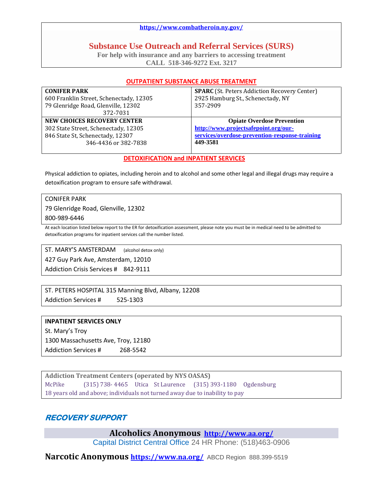#### **<https://www.combatheroin.ny.gov/>**

## **Substance Use Outreach and Referral Services (SURS)**

**For help with insurance and any barriers to accessing treatment CALL 518-346-9272 Ext. 3217**

#### **OUTPATIENT SUBSTANCE ABUSE TREATMENT**

| <b>CONIFER PARK</b>                     | <b>SPARC</b> (St. Peters Addiction Recovery Center) |
|-----------------------------------------|-----------------------------------------------------|
| 600 Franklin Street, Schenectady, 12305 | 2925 Hamburg St., Schenectady, NY                   |
| 79 Glenridge Road, Glenville, 12302     | 357-2909                                            |
| 372-7031                                |                                                     |
| NEW CHOICES RECOVERY CENTER             | <b>Opiate Overdose Prevention</b>                   |
| 302 State Street, Schenectady, 12305    | http://www.projectsafepoint.org/our-                |
| 846 State St, Schenectady, 12307        | services/overdose-prevention-response-training      |
| 346-4436 or 382-7838                    | 449-3581                                            |
|                                         |                                                     |

#### **DETOXIFICATION and INPATIENT SERVICES**

Physical addiction to opiates, including heroin and to alcohol and some other legal and illegal drugs may require a detoxification program to ensure safe withdrawal.

CONIFER PARK

79 Glenridge Road, Glenville, 12302

800-989-6446

At each location listed below report to the ER for detoxification assessment, please note you must be in medical need to be admitted to detoxification programs for inpatient services call the number listed.

ST. MARY'S AMSTERDAM (alcohol detox only) 427 Guy Park Ave, Amsterdam, 12010 Addiction Crisis Services # 842-9111

ST. PETERS HOSPITAL 315 Manning Blvd, Albany, 12208 Addiction Services # 525-1303

#### **INPATIENT SERVICES ONLY**

St. Mary's Troy 1300 Massachusetts Ave, Troy, 12180 Addiction Services # 268-5542

**Addiction Treatment Centers (operated by NYS OASAS)** McPike (315) 738- 4465 Utica St Laurence (315) 393-1180 Ogdensburg 18 years old and above; individuals not turned away due to inability to pay

### **RECOVERY SUPPORT**

**Alcoholics Anonymous <http://www.aa.org/>**

[Capital District Central Office](javascript:jqmMapListSelect() 24 HR Phone: (518)463-0906

**Narcotic Anonymous <https://www.na.org/>**ABCD Region 888.399-5519